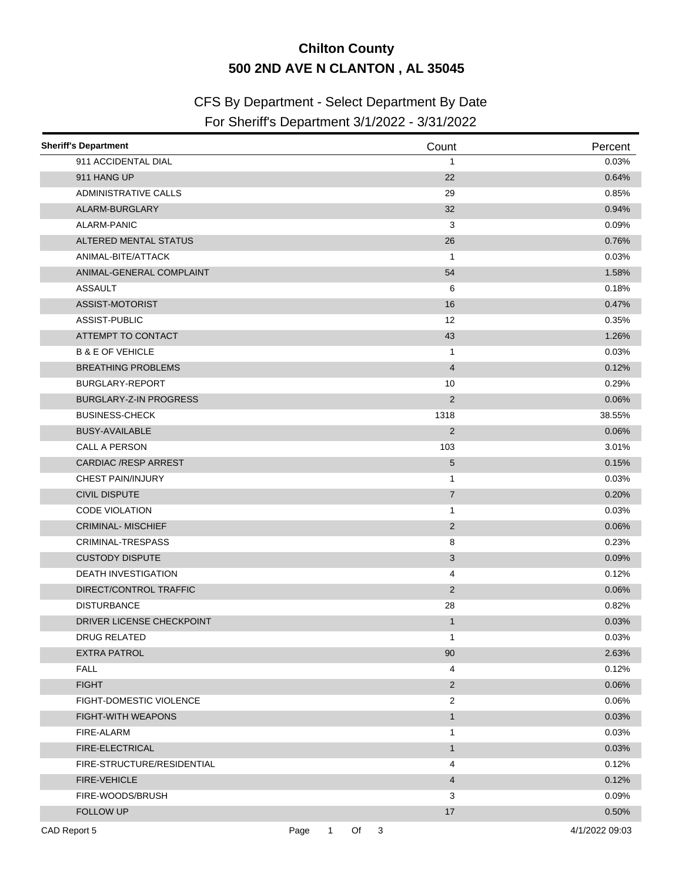## **Chilton County 500 2ND AVE N CLANTON , AL 35045**

## CFS By Department - Select Department By Date

## For Sheriff's Department 3/1/2022 - 3/31/2022

| <b>Sheriff's Department</b>   |                      |      | Count                     | Percent        |
|-------------------------------|----------------------|------|---------------------------|----------------|
| 911 ACCIDENTAL DIAL           |                      |      | $\mathbf{1}$              | 0.03%          |
| 911 HANG UP                   |                      |      | 22                        | 0.64%          |
| <b>ADMINISTRATIVE CALLS</b>   |                      |      | 29                        | 0.85%          |
| ALARM-BURGLARY                |                      |      | 32                        | 0.94%          |
| ALARM-PANIC                   |                      |      | 3                         | 0.09%          |
| ALTERED MENTAL STATUS         |                      |      | 26                        | 0.76%          |
| ANIMAL-BITE/ATTACK            |                      |      | $\mathbf{1}$              | 0.03%          |
| ANIMAL-GENERAL COMPLAINT      |                      |      | 54                        | 1.58%          |
| <b>ASSAULT</b>                |                      |      | 6                         | 0.18%          |
| ASSIST-MOTORIST               |                      |      | 16                        | 0.47%          |
| ASSIST-PUBLIC                 |                      |      | 12                        | 0.35%          |
| ATTEMPT TO CONTACT            |                      |      | 43                        | 1.26%          |
| <b>B &amp; E OF VEHICLE</b>   |                      |      | 1                         | 0.03%          |
| <b>BREATHING PROBLEMS</b>     |                      |      | $\overline{4}$            | 0.12%          |
| BURGLARY-REPORT               |                      |      | 10                        | 0.29%          |
| <b>BURGLARY-Z-IN PROGRESS</b> |                      |      | 2                         | 0.06%          |
| <b>BUSINESS-CHECK</b>         |                      |      | 1318                      | 38.55%         |
| <b>BUSY-AVAILABLE</b>         |                      |      | $\sqrt{2}$                | 0.06%          |
| CALL A PERSON                 |                      |      | 103                       | 3.01%          |
| <b>CARDIAC /RESP ARREST</b>   |                      |      | 5                         | 0.15%          |
| <b>CHEST PAIN/INJURY</b>      |                      |      | $\mathbf{1}$              | 0.03%          |
| <b>CIVIL DISPUTE</b>          |                      |      | $\overline{7}$            | 0.20%          |
| <b>CODE VIOLATION</b>         |                      |      | $\mathbf{1}$              | 0.03%          |
| <b>CRIMINAL-MISCHIEF</b>      |                      |      | $\overline{2}$            | 0.06%          |
| CRIMINAL-TRESPASS             |                      |      | 8                         | 0.23%          |
| <b>CUSTODY DISPUTE</b>        |                      |      | $\ensuremath{\mathsf{3}}$ | 0.09%          |
| <b>DEATH INVESTIGATION</b>    |                      |      | 4                         | 0.12%          |
| DIRECT/CONTROL TRAFFIC        |                      |      | $\sqrt{2}$                | 0.06%          |
| <b>DISTURBANCE</b>            |                      |      | 28                        | 0.82%          |
| DRIVER LICENSE CHECKPOINT     |                      |      | $\mathbf{1}$              | 0.03%          |
| DRUG RELATED                  |                      |      | 1                         | 0.03%          |
| <b>EXTRA PATROL</b>           |                      |      | 90                        | 2.63%          |
| <b>FALL</b>                   |                      |      | 4                         | 0.12%          |
| <b>FIGHT</b>                  |                      |      | $\overline{c}$            | 0.06%          |
| FIGHT-DOMESTIC VIOLENCE       |                      |      | 2                         | 0.06%          |
| <b>FIGHT-WITH WEAPONS</b>     |                      |      | $\mathbf{1}$              | 0.03%          |
| FIRE-ALARM                    |                      |      | $\mathbf{1}$              | 0.03%          |
| FIRE-ELECTRICAL               |                      |      | $\mathbf{1}$              | 0.03%          |
| FIRE-STRUCTURE/RESIDENTIAL    |                      |      | 4                         | 0.12%          |
| <b>FIRE-VEHICLE</b>           |                      |      | $\overline{\mathcal{L}}$  | 0.12%          |
| FIRE-WOODS/BRUSH              |                      |      | 3                         | 0.09%          |
| FOLLOW UP                     |                      |      | 17                        | 0.50%          |
| CAD Report 5                  | $\mathbf{1}$<br>Page | Of 3 |                           | 4/1/2022 09:03 |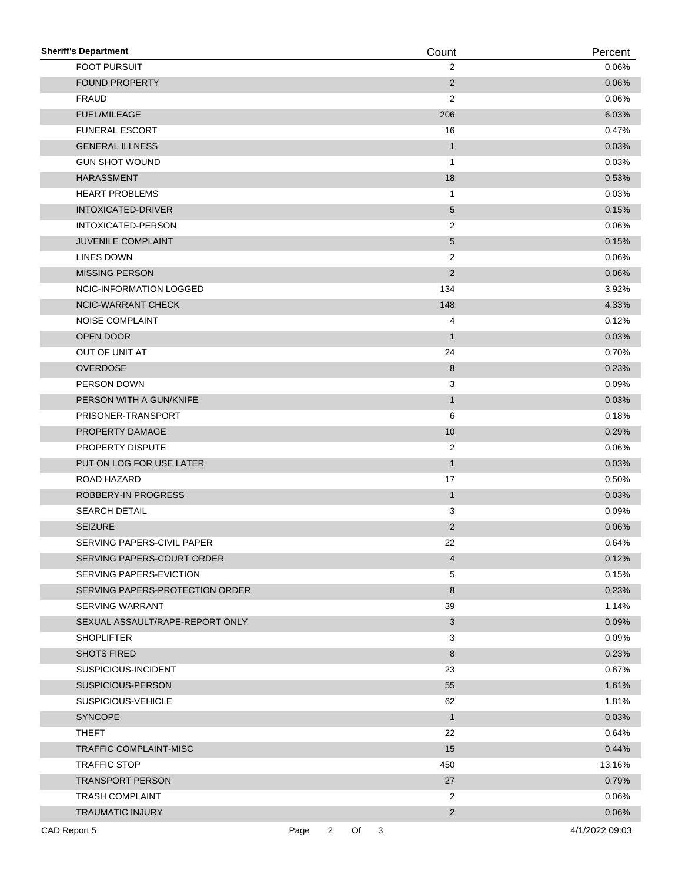| <b>Sheriff's Department</b>     |      |                |    |            | Count          | Percent        |
|---------------------------------|------|----------------|----|------------|----------------|----------------|
| <b>FOOT PURSUIT</b>             |      |                |    |            | $\overline{2}$ | 0.06%          |
| <b>FOUND PROPERTY</b>           |      |                |    |            | 2              | 0.06%          |
| <b>FRAUD</b>                    |      |                |    |            | 2              | 0.06%          |
| <b>FUEL/MILEAGE</b>             |      |                |    |            | 206            | 6.03%          |
| <b>FUNERAL ESCORT</b>           |      |                |    |            | 16             | 0.47%          |
| <b>GENERAL ILLNESS</b>          |      |                |    |            | $\mathbf{1}$   | 0.03%          |
| <b>GUN SHOT WOUND</b>           |      |                |    |            | 1              | 0.03%          |
| <b>HARASSMENT</b>               |      |                |    |            | 18             | 0.53%          |
| <b>HEART PROBLEMS</b>           |      |                |    |            | 1              | 0.03%          |
| <b>INTOXICATED-DRIVER</b>       |      |                |    |            | 5              | 0.15%          |
| INTOXICATED-PERSON              |      |                |    |            | $\overline{2}$ | 0.06%          |
| <b>JUVENILE COMPLAINT</b>       |      |                |    |            | 5              | 0.15%          |
| LINES DOWN                      |      |                |    |            | 2              | 0.06%          |
| <b>MISSING PERSON</b>           |      |                |    |            | $\sqrt{2}$     | 0.06%          |
| <b>NCIC-INFORMATION LOGGED</b>  |      |                |    |            | 134            | 3.92%          |
| NCIC-WARRANT CHECK              |      |                |    |            | 148            | 4.33%          |
| <b>NOISE COMPLAINT</b>          |      |                |    |            | 4              | 0.12%          |
| OPEN DOOR                       |      |                |    |            | $\mathbf{1}$   | 0.03%          |
| OUT OF UNIT AT                  |      |                |    |            | 24             | 0.70%          |
| <b>OVERDOSE</b>                 |      |                |    |            | 8              | 0.23%          |
| PERSON DOWN                     |      |                |    |            | 3              | 0.09%          |
| PERSON WITH A GUN/KNIFE         |      |                |    |            | $\mathbf{1}$   | 0.03%          |
| PRISONER-TRANSPORT              |      |                |    |            | 6              | 0.18%          |
| PROPERTY DAMAGE                 |      |                |    |            | $10$           | 0.29%          |
| PROPERTY DISPUTE                |      |                |    |            | $\overline{c}$ | 0.06%          |
| PUT ON LOG FOR USE LATER        |      |                |    |            | $\mathbf{1}$   | 0.03%          |
| ROAD HAZARD                     |      |                |    |            | 17             | 0.50%          |
| ROBBERY-IN PROGRESS             |      |                |    |            | $\mathbf{1}$   | 0.03%          |
| <b>SEARCH DETAIL</b>            |      |                |    |            | 3              | 0.09%          |
| <b>SEIZURE</b>                  |      |                |    |            | $\overline{2}$ | 0.06%          |
| SERVING PAPERS-CIVIL PAPER      |      |                |    |            | 22             | 0.64%          |
| SERVING PAPERS-COURT ORDER      |      |                |    |            | 4              | 0.12%          |
| SERVING PAPERS-EVICTION         |      |                |    |            | 5              | 0.15%          |
| SERVING PAPERS-PROTECTION ORDER |      |                |    |            | $\bf 8$        | 0.23%          |
| <b>SERVING WARRANT</b>          |      |                |    |            | 39             | 1.14%          |
| SEXUAL ASSAULT/RAPE-REPORT ONLY |      |                |    |            | 3              | 0.09%          |
| <b>SHOPLIFTER</b>               |      |                |    |            | 3              | 0.09%          |
| <b>SHOTS FIRED</b>              |      |                |    |            | 8              | 0.23%          |
| SUSPICIOUS-INCIDENT             |      |                |    |            | 23             | 0.67%          |
| SUSPICIOUS-PERSON               |      |                |    |            | 55             | 1.61%          |
| SUSPICIOUS-VEHICLE              |      |                |    |            | 62             | 1.81%          |
| <b>SYNCOPE</b>                  |      |                |    |            | $\mathbf{1}$   | 0.03%          |
| <b>THEFT</b>                    |      |                |    |            | 22             | 0.64%          |
| <b>TRAFFIC COMPLAINT-MISC</b>   |      |                |    |            | 15             | 0.44%          |
| TRAFFIC STOP                    |      |                |    |            | 450            | 13.16%         |
| <b>TRANSPORT PERSON</b>         |      |                |    |            | 27             | 0.79%          |
| <b>TRASH COMPLAINT</b>          |      |                |    |            | 2              | 0.06%          |
| <b>TRAUMATIC INJURY</b>         |      |                |    |            | $\overline{2}$ | 0.06%          |
| CAD Report 5                    | Page | $\overline{2}$ | Of | $\sqrt{3}$ |                | 4/1/2022 09:03 |